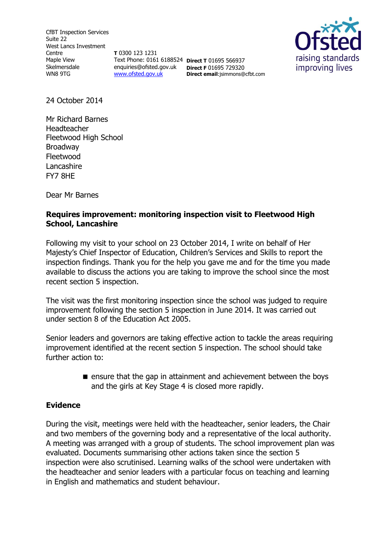CfBT Inspection Services Suite 22 West Lancs Investment Centre Maple View Skelmersdale WN8 9TG

**T** 0300 123 1231 Text Phone: 0161 6188524 **Direct T** 01695 566937 enquiries@ofsted.gov.uk **Direct F** 01695 729320 [www.ofsted.gov.uk](http://www.ofsted.gov.uk/)

**Direct email**:jsimmons@cfbt.com



24 October 2014

Mr Richard Barnes Headteacher Fleetwood High School Broadway Fleetwood Lancashire FY7 8HE

Dear Mr Barnes

## **Requires improvement: monitoring inspection visit to Fleetwood High School, Lancashire**

Following my visit to your school on 23 October 2014, I write on behalf of Her Majesty's Chief Inspector of Education, Children's Services and Skills to report the inspection findings. Thank you for the help you gave me and for the time you made available to discuss the actions you are taking to improve the school since the most recent section 5 inspection.

The visit was the first monitoring inspection since the school was judged to require improvement following the section 5 inspection in June 2014. It was carried out under section 8 of the Education Act 2005.

Senior leaders and governors are taking effective action to tackle the areas requiring improvement identified at the recent section 5 inspection. The school should take further action to:

> $\blacksquare$  ensure that the gap in attainment and achievement between the boys and the girls at Key Stage 4 is closed more rapidly.

### **Evidence**

During the visit, meetings were held with the headteacher, senior leaders, the Chair and two members of the governing body and a representative of the local authority. A meeting was arranged with a group of students. The school improvement plan was evaluated. Documents summarising other actions taken since the section 5 inspection were also scrutinised. Learning walks of the school were undertaken with the headteacher and senior leaders with a particular focus on teaching and learning in English and mathematics and student behaviour.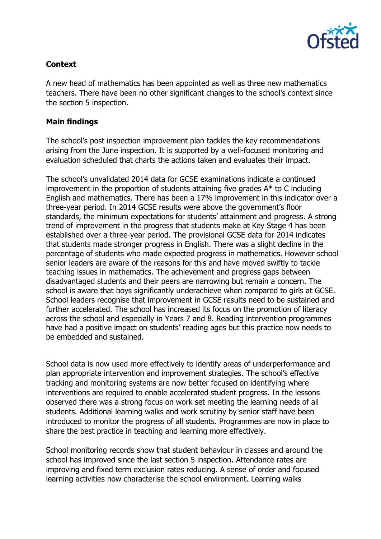

# **Context**

A new head of mathematics has been appointed as well as three new mathematics teachers. There have been no other significant changes to the school's context since the section 5 inspection.

#### **Main findings**

The school's post inspection improvement plan tackles the key recommendations arising from the June inspection. It is supported by a well-focused monitoring and evaluation scheduled that charts the actions taken and evaluates their impact.

The school's unvalidated 2014 data for GCSE examinations indicate a continued improvement in the proportion of students attaining five grades A\* to C including English and mathematics. There has been a 17% improvement in this indicator over a three-year period. In 2014 GCSE results were above the government's floor standards, the minimum expectations for students' attainment and progress. A strong trend of improvement in the progress that students make at Key Stage 4 has been established over a three-year period. The provisional GCSE data for 2014 indicates that students made stronger progress in English. There was a slight decline in the percentage of students who made expected progress in mathematics. However school senior leaders are aware of the reasons for this and have moved swiftly to tackle teaching issues in mathematics. The achievement and progress gaps between disadvantaged students and their peers are narrowing but remain a concern. The school is aware that boys significantly underachieve when compared to girls at GCSE. School leaders recognise that improvement in GCSE results need to be sustained and further accelerated. The school has increased its focus on the promotion of literacy across the school and especially in Years 7 and 8. Reading intervention programmes have had a positive impact on students' reading ages but this practice now needs to be embedded and sustained.

School data is now used more effectively to identify areas of underperformance and plan appropriate intervention and improvement strategies. The school's effective tracking and monitoring systems are now better focused on identifying where interventions are required to enable accelerated student progress. In the lessons observed there was a strong focus on work set meeting the learning needs of all students. Additional learning walks and work scrutiny by senior staff have been introduced to monitor the progress of all students. Programmes are now in place to share the best practice in teaching and learning more effectively.

School monitoring records show that student behaviour in classes and around the school has improved since the last section 5 inspection. Attendance rates are improving and fixed term exclusion rates reducing. A sense of order and focused learning activities now characterise the school environment. Learning walks